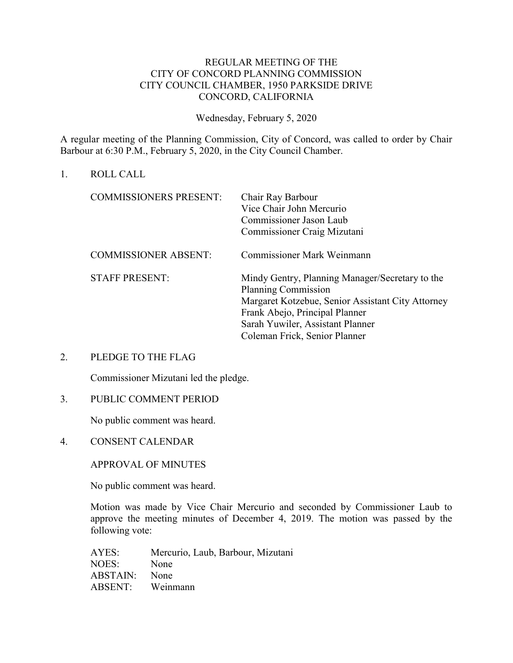# REGULAR MEETING OF THE CITY OF CONCORD PLANNING COMMISSION CITY COUNCIL CHAMBER, 1950 PARKSIDE DRIVE CONCORD, CALIFORNIA

Wednesday, February 5, 2020

A regular meeting of the Planning Commission, City of Concord, was called to order by Chair Barbour at 6:30 P.M., February 5, 2020, in the City Council Chamber.

1. ROLL CALL

| <b>COMMISSIONERS PRESENT:</b> | Chair Ray Barbour<br>Vice Chair John Mercurio<br>Commissioner Jason Laub<br>Commissioner Craig Mizutani                                                                                                                                   |
|-------------------------------|-------------------------------------------------------------------------------------------------------------------------------------------------------------------------------------------------------------------------------------------|
| <b>COMMISSIONER ABSENT:</b>   | <b>Commissioner Mark Weinmann</b>                                                                                                                                                                                                         |
| <b>STAFF PRESENT:</b>         | Mindy Gentry, Planning Manager/Secretary to the<br><b>Planning Commission</b><br>Margaret Kotzebue, Senior Assistant City Attorney<br>Frank Abejo, Principal Planner<br>Sarah Yuwiler, Assistant Planner<br>Coleman Frick, Senior Planner |

## 2. PLEDGE TO THE FLAG

Commissioner Mizutani led the pledge.

## 3. PUBLIC COMMENT PERIOD

No public comment was heard.

4. CONSENT CALENDAR

APPROVAL OF MINUTES

No public comment was heard.

Motion was made by Vice Chair Mercurio and seconded by Commissioner Laub to approve the meeting minutes of December 4, 2019. The motion was passed by the following vote:

AYES: Mercurio, Laub, Barbour, Mizutani NOES: None ABSTAIN: None ABSENT: Weinmann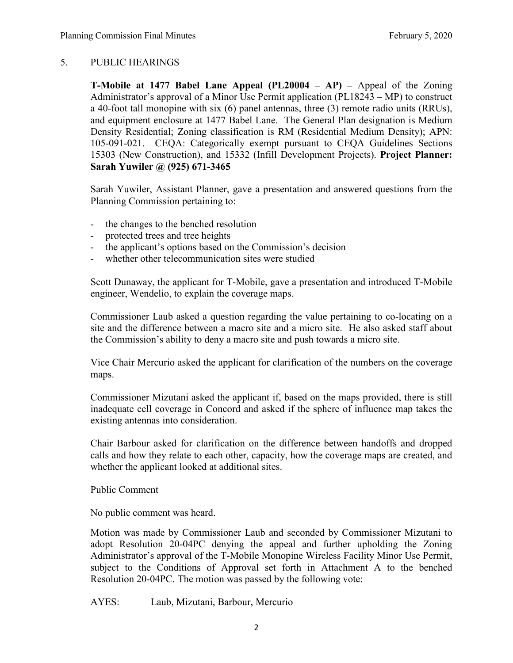# 5. PUBLIC HEARINGS

**T-Mobile at 1477 Babel Lane Appeal (PL20004 – AP) –** Appeal of the Zoning Administrator's approval of a Minor Use Permit application (PL18243 – MP) to construct a 40-foot tall monopine with six (6) panel antennas, three (3) remote radio units (RRUs), and equipment enclosure at 1477 Babel Lane. The General Plan designation is Medium Density Residential; Zoning classification is RM (Residential Medium Density); APN: 105-091-021. CEQA: Categorically exempt pursuant to CEQA Guidelines Sections 15303 (New Construction), and 15332 (Infill Development Projects). **Project Planner: Sarah Yuwiler @ (925) 671-3465**

Sarah Yuwiler, Assistant Planner, gave a presentation and answered questions from the Planning Commission pertaining to:

- the changes to the benched resolution
- protected trees and tree heights
- the applicant's options based on the Commission's decision
- whether other telecommunication sites were studied

Scott Dunaway, the applicant for T-Mobile, gave a presentation and introduced T-Mobile engineer, Wendelio, to explain the coverage maps.

Commissioner Laub asked a question regarding the value pertaining to co-locating on a site and the difference between a macro site and a micro site. He also asked staff about the Commission's ability to deny a macro site and push towards a micro site.

Vice Chair Mercurio asked the applicant for clarification of the numbers on the coverage maps.

Commissioner Mizutani asked the applicant if, based on the maps provided, there is still inadequate cell coverage in Concord and asked if the sphere of influence map takes the existing antennas into consideration.

Chair Barbour asked for clarification on the difference between handoffs and dropped calls and how they relate to each other, capacity, how the coverage maps are created, and whether the applicant looked at additional sites.

Public Comment

No public comment was heard.

Motion was made by Commissioner Laub and seconded by Commissioner Mizutani to adopt Resolution 20-04PC denying the appeal and further upholding the Zoning Administrator's approval of the T-Mobile Monopine Wireless Facility Minor Use Permit, subject to the Conditions of Approval set forth in Attachment A to the benched Resolution 20-04PC. The motion was passed by the following vote:

AYES: Laub, Mizutani, Barbour, Mercurio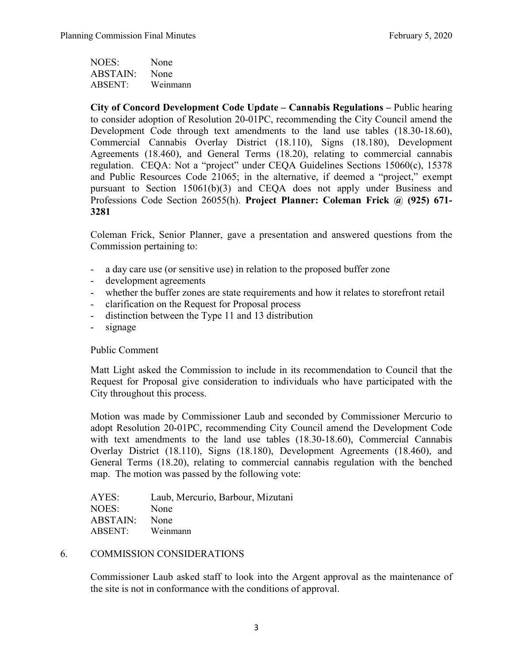NOES: None ABSTAIN: None ABSENT: Weinmann

**City of Concord Development Code Update – Cannabis Regulations –** Public hearing to consider adoption of Resolution 20-01PC, recommending the City Council amend the Development Code through text amendments to the land use tables (18.30-18.60), Commercial Cannabis Overlay District (18.110), Signs (18.180), Development Agreements (18.460), and General Terms (18.20), relating to commercial cannabis regulation. CEQA: Not a "project" under CEQA Guidelines Sections 15060(c), 15378 and Public Resources Code 21065; in the alternative, if deemed a "project," exempt pursuant to Section 15061(b)(3) and CEQA does not apply under Business and Professions Code Section 26055(h). **Project Planner: Coleman Frick @ (925) 671- 3281**

Coleman Frick, Senior Planner, gave a presentation and answered questions from the Commission pertaining to:

- a day care use (or sensitive use) in relation to the proposed buffer zone
- development agreements
- whether the buffer zones are state requirements and how it relates to storefront retail
- clarification on the Request for Proposal process
- distinction between the Type 11 and 13 distribution
- signage

## Public Comment

Matt Light asked the Commission to include in its recommendation to Council that the Request for Proposal give consideration to individuals who have participated with the City throughout this process.

Motion was made by Commissioner Laub and seconded by Commissioner Mercurio to adopt Resolution 20-01PC, recommending City Council amend the Development Code with text amendments to the land use tables (18.30-18.60), Commercial Cannabis Overlay District (18.110), Signs (18.180), Development Agreements (18.460), and General Terms (18.20), relating to commercial cannabis regulation with the benched map. The motion was passed by the following vote:

| AYES:    | Laub, Mercurio, Barbour, Mizutani |
|----------|-----------------------------------|
| NOES:    | None                              |
| ABSTAIN: | <b>None</b>                       |
| ABSENT:  | Weinmann                          |

#### 6. COMMISSION CONSIDERATIONS

Commissioner Laub asked staff to look into the Argent approval as the maintenance of the site is not in conformance with the conditions of approval.